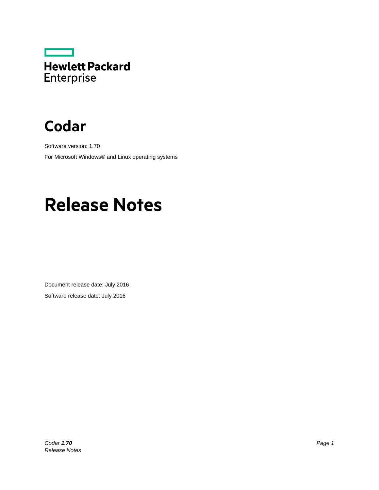

# **Codar**

Software version: 1.70 For Microsoft Windows® and Linux operating systems

# **Release Notes**

Document release date: July 2016 Software release date: July 2016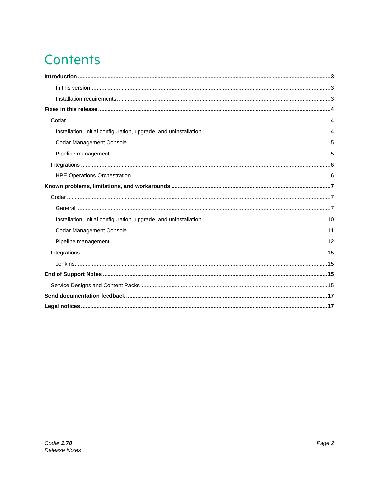# **Contents**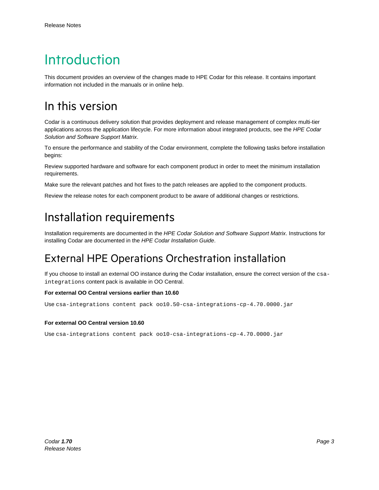# <span id="page-2-0"></span>Introduction

This document provides an overview of the changes made to HPE Codar for this release. It contains important information not included in the manuals or in online help.

### <span id="page-2-1"></span>In this version

Codar is a continuous delivery solution that provides deployment and release management of complex multi-tier applications across the application lifecycle. For more information about integrated products, see the *HPE Codar Solution and Software Support Matrix*.

To ensure the performance and stability of the Codar environment, complete the following tasks before installation begins:

Review supported hardware and software for each component product in order to meet the minimum installation requirements.

Make sure the relevant patches and hot fixes to the patch releases are applied to the component products.

Review the release notes for each component product to be aware of additional changes or restrictions.

### <span id="page-2-2"></span>Installation requirements

Installation requirements are documented in the *HPE Codar Solution and Software Support Matrix*. Instructions for installing Codar are documented in the *HPE Codar Installation Guide*.

### External HPE Operations Orchestration installation

If you choose to install an external OO instance during the Codar installation, ensure the correct version of the csaintegrations content pack is available in OO Central.

#### **For external OO Central versions earlier than 10.60**

Use csa-integrations content pack oo10.50-csa-integrations-cp-4.70.0000.jar

#### **For external OO Central version 10.60**

Use csa-integrations content pack oo10-csa-integrations-cp-4.70.0000.jar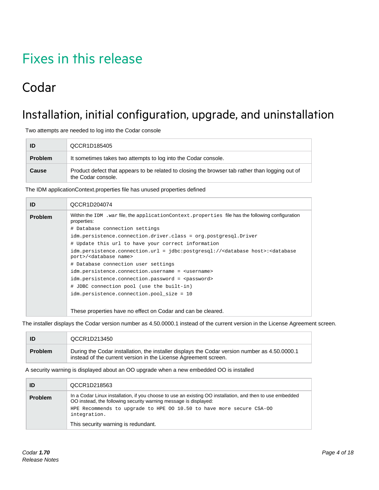# <span id="page-3-0"></span>Fixes in this release

## <span id="page-3-1"></span>Codar

## <span id="page-3-2"></span>Installation, initial configuration, upgrade, and uninstallation

Two attempts are needed to log into the Codar console

| ID             | QCCR1D185405                                                                                                          |
|----------------|-----------------------------------------------------------------------------------------------------------------------|
| <b>Problem</b> | It sometimes takes two attempts to log into the Codar console.                                                        |
| Cause          | Product defect that appears to be related to closing the browser tab rather than logging out of<br>the Codar console. |

The IDM applicationContext.properties file has unused properties defined

| ID             | QCCR1D204074                                                                                                                                        |
|----------------|-----------------------------------------------------------------------------------------------------------------------------------------------------|
| <b>Problem</b> | Within the IDM . war file, the application Context. properties file has the following configuration<br>properties:                                  |
|                | # Database connection settings                                                                                                                      |
|                | idm.persistence.connection.driver.class = org.postgresql.Driver                                                                                     |
|                | # Update this url to have your correct information                                                                                                  |
|                | idm.persistence.connection.url = jdbc:postgresql:// <database host="">:<database<br>port&gt;/<database name=""></database></database<br></database> |
|                | # Database connection user settings                                                                                                                 |
|                | idm.persistence.connection.username = <username></username>                                                                                         |
|                | idm.persistence.connection.password = <password></password>                                                                                         |
|                | # JDBC connection pool (use the built-in)                                                                                                           |
|                | idm.persistence.connection.pool size = 10                                                                                                           |
|                |                                                                                                                                                     |
|                | These properties have no effect on Codar and can be cleared.                                                                                        |

The installer displays the Codar version number as 4.50.0000.1 instead of the current version in the License Agreement screen.

|                | QCCR1D213450                                                                                                                                                     |
|----------------|------------------------------------------------------------------------------------------------------------------------------------------------------------------|
| <b>Problem</b> | During the Codar installation, the installer displays the Codar version number as 4.50.0000.1<br>instead of the current version in the License Agreement screen. |

A security warning is displayed about an OO upgrade when a new embedded OO is installed

|         | QCCR1D218563                                                                                                                                                                                                                                                                                                 |
|---------|--------------------------------------------------------------------------------------------------------------------------------------------------------------------------------------------------------------------------------------------------------------------------------------------------------------|
| Problem | In a Codar Linux installation, if you choose to use an existing OO installation, and then to use embedded<br>OO instead, the following security warning message is displayed:<br>HPE Recommends to upgrade to HPE 00 10.50 to have more secure CSA-00<br>integration.<br>This security warning is redundant. |
|         |                                                                                                                                                                                                                                                                                                              |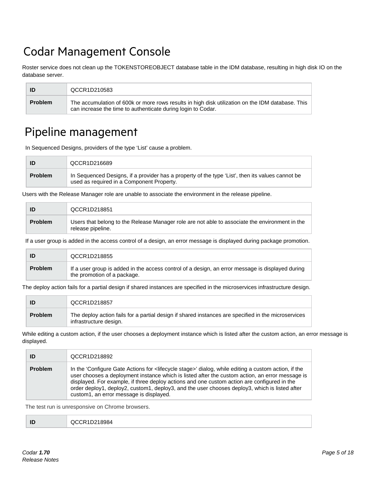## <span id="page-4-0"></span>Codar Management Console

Roster service does not clean up the TOKENSTOREOBJECT database table in the IDM database, resulting in high disk IO on the database server.

| ID             | QCCR1D210583                                                                                                                                                     |
|----------------|------------------------------------------------------------------------------------------------------------------------------------------------------------------|
| <b>Problem</b> | The accumulation of 600k or more rows results in high disk utilization on the IDM database. This<br>can increase the time to authenticate during login to Codar. |

### <span id="page-4-1"></span>Pipeline management

In Sequenced Designs, providers of the type 'List' cause a problem.

| ID             | QCCR1D216689                                                                                                                                  |
|----------------|-----------------------------------------------------------------------------------------------------------------------------------------------|
| <b>Problem</b> | In Sequenced Designs, if a provider has a property of the type 'List', then its values cannot be<br>used as required in a Component Property. |

Users with the Release Manager role are unable to associate the environment in the release pipeline.

| ID             | QCCR1D218851                                                                                                        |
|----------------|---------------------------------------------------------------------------------------------------------------------|
| <b>Problem</b> | Users that belong to the Release Manager role are not able to associate the environment in the<br>release pipeline. |

If a user group is added in the access control of a design, an error message is displayed during package promotion.

| ID             | QCCR1D218855                                                                                                                    |
|----------------|---------------------------------------------------------------------------------------------------------------------------------|
| <b>Problem</b> | If a user group is added in the access control of a design, an error message is displayed during<br>the promotion of a package. |

The deploy action fails for a partial design if shared instances are specified in the microservices infrastructure design.

|                | QCCR1D218857                                                                                                                  |
|----------------|-------------------------------------------------------------------------------------------------------------------------------|
| <b>Problem</b> | The deploy action fails for a partial design if shared instances are specified in the microservices<br>infrastructure design. |

While editing a custom action, if the user chooses a deployment instance which is listed after the custom action, an error message is displayed.

| ID             | QCCR1D218892                                                                                                                                                                                                                                                                                                                                                                                                                                                         |
|----------------|----------------------------------------------------------------------------------------------------------------------------------------------------------------------------------------------------------------------------------------------------------------------------------------------------------------------------------------------------------------------------------------------------------------------------------------------------------------------|
| <b>Problem</b> | In the 'Configure Gate Actions for <lifecycle stage="">' dialog, while editing a custom action, if the<br/>user chooses a deployment instance which is listed after the custom action, an error message is<br/>displayed. For example, if three deploy actions and one custom action are configured in the<br/>order deploy1, deploy2, custom1, deploy3, and the user chooses deploy3, which is listed after<br/>custom1, an error message is displayed.</lifecycle> |

The test run is unresponsive on Chrome browsers.

**ID** QCCR1D218984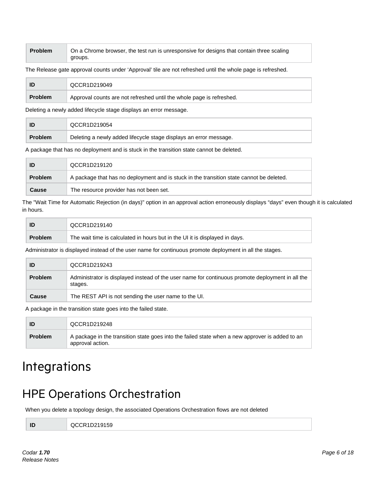#### **Problem** On a Chrome browser, the test run is unresponsive for designs that contain three scaling groups.

The Release gate approval counts under 'Approval' tile are not refreshed until the whole page is refreshed.

|                | QCCR1D219049                                                         |
|----------------|----------------------------------------------------------------------|
| <b>Problem</b> | Approval counts are not refreshed until the whole page is refreshed. |

Deleting a newly added lifecycle stage displays an error message.

| ID             | QCCR1D219054                                                      |
|----------------|-------------------------------------------------------------------|
| <b>Problem</b> | Deleting a newly added lifecycle stage displays an error message. |

A package that has no deployment and is stuck in the transition state cannot be deleted.

|                | QCCR1D219120                                                                             |
|----------------|------------------------------------------------------------------------------------------|
| <b>Problem</b> | A package that has no deployment and is stuck in the transition state cannot be deleted. |
| <b>Cause</b>   | The resource provider has not been set.                                                  |

The "Wait Time for Automatic Rejection (in days)" option in an approval action erroneously displays "days" even though it is calculated in hours.

|                | QCCR1D219140                                                                |
|----------------|-----------------------------------------------------------------------------|
| <b>Problem</b> | The wait time is calculated in hours but in the UI it is displayed in days. |

Administrator is displayed instead of the user name for continuous promote deployment in all the stages.

| ID             | QCCR1D219243                                                                                                |
|----------------|-------------------------------------------------------------------------------------------------------------|
| <b>Problem</b> | Administrator is displayed instead of the user name for continuous promote deployment in all the<br>stages. |
| <b>Cause</b>   | The REST API is not sending the user name to the UI.                                                        |

A package in the transition state goes into the failed state.

| ID             | QCCR1D219248                                                                                                        |
|----------------|---------------------------------------------------------------------------------------------------------------------|
| <b>Problem</b> | A package in the transition state goes into the failed state when a new approver is added to an<br>approval action. |

## <span id="page-5-0"></span>Integrations

### <span id="page-5-1"></span>HPE Operations Orchestration

When you delete a topology design, the associated Operations Orchestration flows are not deleted

**ID** QCCR1D219159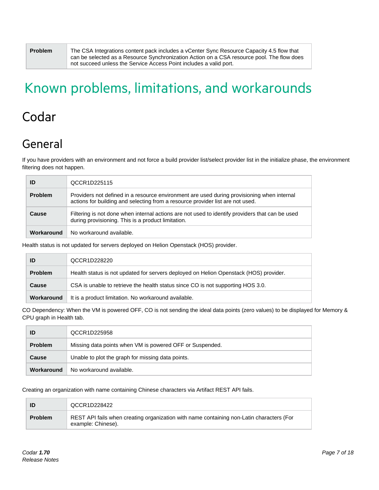**Problem** The CSA Integrations content pack includes a vCenter Sync Resource Capacity 4.5 flow that can be selected as a Resource Synchronization Action on a CSA resource pool. The flow does not succeed unless the Service Access Point includes a valid port.

# <span id="page-6-0"></span>Known problems, limitations, and workarounds

## <span id="page-6-1"></span>Codar

## <span id="page-6-2"></span>General

If you have providers with an environment and not force a build provider list/select provider list in the initialize phase, the environment filtering does not happen.

| ID             | QCCR1D225115                                                                                                                                                                 |
|----------------|------------------------------------------------------------------------------------------------------------------------------------------------------------------------------|
| <b>Problem</b> | Providers not defined in a resource environment are used during provisioning when internal<br>actions for building and selecting from a resource provider list are not used. |
| Cause          | Filtering is not done when internal actions are not used to identify providers that can be used<br>during provisioning. This is a product limitation.                        |
| Workaround     | No workaround available.                                                                                                                                                     |

Health status is not updated for servers deployed on Helion Openstack (HOS) provider.

| ID             | QCCR1D228220                                                                          |
|----------------|---------------------------------------------------------------------------------------|
| <b>Problem</b> | Health status is not updated for servers deployed on Helion Openstack (HOS) provider. |
| Cause          | CSA is unable to retrieve the health status since CO is not supporting HOS 3.0.       |
| Workaround     | It is a product limitation. No workaround available.                                  |

CO Dependency: When the VM is powered OFF, CO is not sending the ideal data points (zero values) to be displayed for Memory & CPU graph in Health tab.

| ID             | QCCR1D225958                                             |
|----------------|----------------------------------------------------------|
| <b>Problem</b> | Missing data points when VM is powered OFF or Suspended. |
| Cause          | Unable to plot the graph for missing data points.        |
| Workaround     | No workaround available.                                 |

Creating an organization with name containing Chinese characters via Artifact REST API fails.

| ID             | QCCR1D228422                                                                                                   |
|----------------|----------------------------------------------------------------------------------------------------------------|
| <b>Problem</b> | REST API fails when creating organization with name containing non-Latin characters (For<br>example: Chinese). |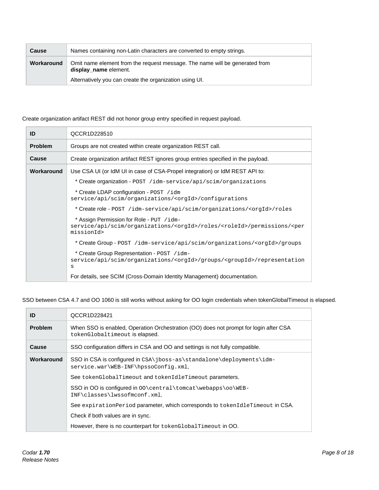| <b>Cause</b> | Names containing non-Latin characters are converted to empty strings.                                |
|--------------|------------------------------------------------------------------------------------------------------|
| Workaround   | Omit name element from the request message. The name will be generated from<br>display_name element. |
|              | Alternatively you can create the organization using UI.                                              |

#### Create organization artifact REST did not honor group entry specified in request payload.

| ID             | QCCR1D228510                                                                                                                                                   |
|----------------|----------------------------------------------------------------------------------------------------------------------------------------------------------------|
| <b>Problem</b> | Groups are not created within create organization REST call.                                                                                                   |
| <b>Cause</b>   | Create organization artifact REST ignores group entries specified in the payload.                                                                              |
| Workaround     | Use CSA UI (or IdM UI in case of CSA-Propel integration) or IdM REST API to:                                                                                   |
|                | * Create organization - POST /idm-service/api/scim/organizations                                                                                               |
|                | * Create LDAP configuration - POST /idm<br>service/api/scim/organizations/ <orgid>/configurations</orgid>                                                      |
|                | *Create role - POST /idm-service/api/scim/organizations/ <orgid>/roles</orgid>                                                                                 |
|                | * Assign Permission for Role - PUT /idm-<br>service/api/scim/organizations/ <orgid>/roles/<roleid>/permissions/<per<br>missionId&gt;</per<br></roleid></orgid> |
|                | * Create Group - POST / idm-service/api/scim/organizations/ <orgid>/groups</orgid>                                                                             |
|                | * Create Group Representation - POST /idm-<br>service/api/scim/organizations/ <orgid>/groups/<groupid>/representation<br/>S</groupid></orgid>                  |
|                | For details, see SCIM (Cross-Domain Identity Management) documentation.                                                                                        |

SSO between CSA 4.7 and OO 1060 is still works without asking for OO login credentials when tokenGlobalTimeout is elapsed.

| ID             | QCCR1D228421                                                                                                            |
|----------------|-------------------------------------------------------------------------------------------------------------------------|
| <b>Problem</b> | When SSO is enabled, Operation Orchestration (OO) does not prompt for login after CSA<br>tokenGlobaltimeout is elapsed. |
| Cause          | SSO configuration differs in CSA and OO and settings is not fully compatible.                                           |
| Workaround     | SSO in CSA is configured in CSA\jboss-as\standalone\deployments\idm-<br>service.war\WEB-INF\hpssoConfig.xml,            |
|                | See tokenGlobalTimeout and tokenIdleTimeout parameters.                                                                 |
|                | SSO in OO is configured in 00\central\tomcat\webapps\oo\WEB-<br>INF\classes\lwssofmconf.xml.                            |
|                | See expiration Period parameter, which corresponds to tokend detime out in CSA.                                         |
|                | Check if both values are in sync.                                                                                       |
|                | However, there is no counterpart for tokenGlobalTimeout in OO.                                                          |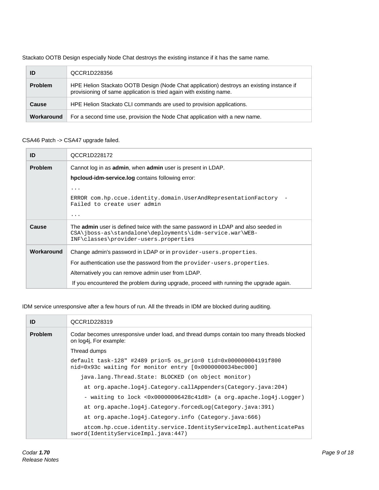Stackato OOTB Design especially Node Chat destroys the existing instance if it has the same name.

| ID             | QCCR1D228356                                                                                                                                                    |
|----------------|-----------------------------------------------------------------------------------------------------------------------------------------------------------------|
| <b>Problem</b> | HPE Helion Stackato OOTB Design (Node Chat application) destroys an existing instance if<br>provisioning of same application is tried again with existing name. |
| Cause          | HPE Helion Stackato CLI commands are used to provision applications.                                                                                            |
| Workaround     | For a second time use, provision the Node Chat application with a new name.                                                                                     |

#### CSA46 Patch -> CSA47 upgrade failed.

| ID             | QCCR1D228172                                                                                                                                                                                  |
|----------------|-----------------------------------------------------------------------------------------------------------------------------------------------------------------------------------------------|
| <b>Problem</b> | Cannot log in as <b>admin</b> , when <b>admin</b> user is present in LDAP.                                                                                                                    |
|                | hpcloud-idm-service.log contains following error:                                                                                                                                             |
|                | .                                                                                                                                                                                             |
|                | ERROR com.hp.ccue.identity.domain.UserAndRepresentationFactory<br>Failed to create user admin                                                                                                 |
|                | .                                                                                                                                                                                             |
| Cause          | The <b>admin</b> user is defined twice with the same password in LDAP and also seeded in<br>CSA\jboss-as\standalone\deployments\idm-service.war\WEB-<br>INF\classes\provider-users.properties |
| Workaround     | Change admin's password in LDAP or in provider-users. properties.                                                                                                                             |
|                | For authentication use the password from the provider-users. properties.                                                                                                                      |
|                | Alternatively you can remove admin user from LDAP.                                                                                                                                            |
|                | If you encountered the problem during upgrade, proceed with running the upgrade again.                                                                                                        |

IDM service unresponsive after a few hours of run. All the threads in IDM are blocked during auditing.

| ID             | QCCR1D228319                                                                                                                |
|----------------|-----------------------------------------------------------------------------------------------------------------------------|
| <b>Problem</b> | Codar becomes unresponsive under load, and thread dumps contain too many threads blocked<br>on log4i, For example:          |
|                | Thread dumps                                                                                                                |
|                | default task-128" #2489 prio=5 os_prio=0 tid=0x000000004191f800<br>nid=0x93c waiting for monitor entry [0x0000000034bec000] |
|                | java.lang.Thread.State: BLOCKED (on object monitor)                                                                         |
|                | at org.apache.log4j.Category.callAppenders(Category.java:204)                                                               |
|                | - waiting to lock <0x00000006428c41d8> (a org.apache.log4j.Logger)                                                          |
|                | at org.apache.log4j.Category.forcedLog(Category.java:391)                                                                   |
|                | at org.apache.log4j.Category.info (Category.java:666)                                                                       |
|                | atcom.hp.ccue.identity.service.IdentityServiceImpl.authenticatePas<br>sword(IdentityServiceImpl.java:447)                   |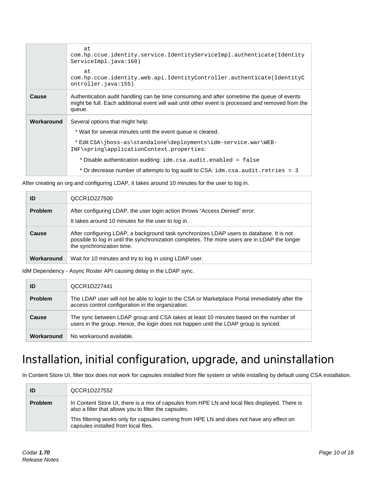|            | at<br>com.hp.ccue.identity.service.IdentityServiceImpl.authenticate(Identity<br>ServiceImpl.java:168)                                                                                                      |
|------------|------------------------------------------------------------------------------------------------------------------------------------------------------------------------------------------------------------|
|            | at<br>com.hp.ccue.identity.web.api.IdentityController.authenticate(IdentityC<br>ontroller.java:155)                                                                                                        |
| Cause      | Authentication audit handling can be time consuming and after sometime the queue of events<br>might be full. Each additional event will wait until other event is processed and removed from the<br>queue. |
| Workaround | Several options that might help:                                                                                                                                                                           |
|            | * Wait for several minutes until the event queue is cleared.                                                                                                                                               |
|            | *EditCSA\jboss-as\standalone\deployments\idm-service.war\WEB-<br>INF\spring\applicationContext.properties:                                                                                                 |
|            | * Disable authentication auditing: idm.csa.audit.enabled = false                                                                                                                                           |
|            | * Or decrease number of attempts to log audit to CSA: idm.csa.audit.retries = 3                                                                                                                            |

After creating an org and configuring LDAP, it takes around 10 minutes for the user to log in.

| ID             | QCCR1D227500                                                                                                                                                                                                           |
|----------------|------------------------------------------------------------------------------------------------------------------------------------------------------------------------------------------------------------------------|
| <b>Problem</b> | After configuring LDAP, the user login action throws "Access Denied" error.<br>It takes around 10 minutes for the user to log in.                                                                                      |
| Cause          | After configuring LDAP, a background task synchronizes LDAP users to database. It is not<br>possible to log in until the synchronization completes. The more users are in LDAP the longer<br>the synchronization time. |
| Workaround     | Wait for 10 minutes and try to log in using LDAP user.                                                                                                                                                                 |

IdM Dependency - Async Roster API causing delay in the LDAP sync.

| ID             | QCCR1D227441                                                                                                                                                                 |
|----------------|------------------------------------------------------------------------------------------------------------------------------------------------------------------------------|
| <b>Problem</b> | The LDAP user will not be able to login to the CSA or Marketplace Portal immediately after the<br>access control configuration in the organization.                          |
| Cause          | The sync between LDAP group and CSA takes at least 10 minutes based on the number of<br>users in the group. Hence, the login does not happen until the LDAP group is synced. |
| Workaround     | No workaround available.                                                                                                                                                     |

## <span id="page-9-0"></span>Installation, initial configuration, upgrade, and uninstallation

In Content Store UI, filter box does not work for capsules installed from file system or while installing by default using CSA installation.

| ID             | QCCR1D227552                                                                                                                                             |
|----------------|----------------------------------------------------------------------------------------------------------------------------------------------------------|
| <b>Problem</b> | In Content Store UI, there is a mix of capsules from HPE LN and local files displayed. There is<br>also a filter that allows you to filter the capsules. |
|                | This filtering works only for capsules coming from HPE LN and does not have any effect on<br>capsules installed from local files.                        |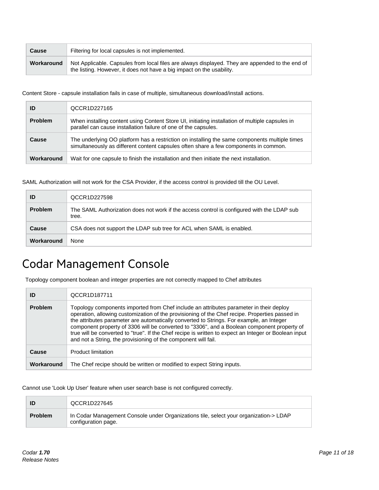| <b>Cause</b> | Filtering for local capsules is not implemented.                                                                                                                         |
|--------------|--------------------------------------------------------------------------------------------------------------------------------------------------------------------------|
| Workaround   | Not Applicable. Capsules from local files are always displayed. They are appended to the end of<br>the listing. However, it does not have a big impact on the usability. |

Content Store - capsule installation fails in case of multiple, simultaneous download/install actions.

| ID             | QCCR1D227165                                                                                                                                                                          |
|----------------|---------------------------------------------------------------------------------------------------------------------------------------------------------------------------------------|
| <b>Problem</b> | When installing content using Content Store UI, initiating installation of multiple capsules in<br>parallel can cause installation failure of one of the capsules.                    |
| Cause          | The underlying OO platform has a restriction on installing the same components multiple times<br>simultaneously as different content capsules often share a few components in common. |
| Workaround     | Wait for one capsule to finish the installation and then initiate the next installation.                                                                                              |

SAML Authorization will not work for the CSA Provider, if the access control is provided till the OU Level.

| ID             | QCCR1D227598                                                                                        |
|----------------|-----------------------------------------------------------------------------------------------------|
| <b>Problem</b> | The SAML Authorization does not work if the access control is configured with the LDAP sub<br>tree. |
| <b>Cause</b>   | CSA does not support the LDAP sub tree for ACL when SAML is enabled.                                |
| Workaround     | <b>None</b>                                                                                         |

## <span id="page-10-0"></span>Codar Management Console

Topology component boolean and integer properties are not correctly mapped to Chef attributes

| ID             | QCCR1D187711                                                                                                                                                                                                                                                                                                                                                                                                                                                                                                                                                   |
|----------------|----------------------------------------------------------------------------------------------------------------------------------------------------------------------------------------------------------------------------------------------------------------------------------------------------------------------------------------------------------------------------------------------------------------------------------------------------------------------------------------------------------------------------------------------------------------|
| <b>Problem</b> | Topology components imported from Chef include an attributes parameter in their deploy<br>operation, allowing customization of the provisioning of the Chef recipe. Properties passed in<br>the attributes parameter are automatically converted to Strings. For example, an Integer<br>component property of 3306 will be converted to "3306", and a Boolean component property of<br>true will be converted to "true". If the Chef recipe is written to expect an Integer or Boolean input<br>and not a String, the provisioning of the component will fail. |
| Cause          | <b>Product limitation</b>                                                                                                                                                                                                                                                                                                                                                                                                                                                                                                                                      |
| Workaround     | The Chef recipe should be written or modified to expect String inputs.                                                                                                                                                                                                                                                                                                                                                                                                                                                                                         |

Cannot use 'Look Up User' feature when user search base is not configured correctly.

|                | QCCR1D227645                                                                                                 |
|----------------|--------------------------------------------------------------------------------------------------------------|
| <b>Problem</b> | In Codar Management Console under Organizations tile, select your organization-> LDAP<br>configuration page. |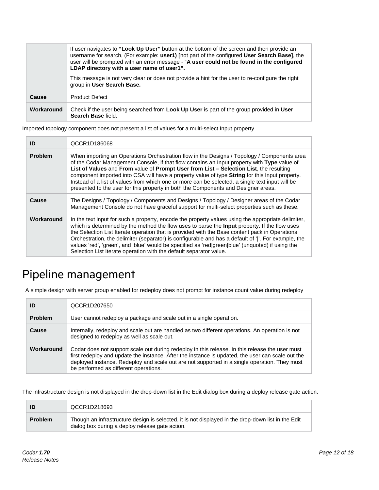|            | If user navigates to "Look Up User" button at the bottom of the screen and then provide an<br>username for search, (For example: user1) [not part of the configured User Search Base], the<br>user will be prompted with an error message - "A user could not be found in the configured<br>LDAP directory with a user name of user1". |
|------------|----------------------------------------------------------------------------------------------------------------------------------------------------------------------------------------------------------------------------------------------------------------------------------------------------------------------------------------|
|            | This message is not very clear or does not provide a hint for the user to re-configure the right<br>group in User Search Base.                                                                                                                                                                                                         |
| Cause      | <b>Product Defect</b>                                                                                                                                                                                                                                                                                                                  |
| Workaround | Check if the user being searched from <b>Look Up User</b> is part of the group provided in <b>User</b><br>Search Base field.                                                                                                                                                                                                           |

Imported topology component does not present a list of values for a multi-select Input property

| ID             | QCCR1D186068                                                                                                                                                                                                                                                                                                                                                                                                                                                                                                                                                                                  |
|----------------|-----------------------------------------------------------------------------------------------------------------------------------------------------------------------------------------------------------------------------------------------------------------------------------------------------------------------------------------------------------------------------------------------------------------------------------------------------------------------------------------------------------------------------------------------------------------------------------------------|
| <b>Problem</b> | When importing an Operations Orchestration flow in the Designs / Topology / Components area<br>of the Codar Management Console, if that flow contains an Input property with Type value of<br>List of Values and From value of Prompt User from List - Selection List, the resulting<br>component imported into CSA will have a property value of type String for this Input property.<br>Instead of a list of values from which one or more can be selected, a single text input will be<br>presented to the user for this property in both the Components and Designer areas.               |
| Cause          | The Designs / Topology / Components and Designs / Topology / Designer areas of the Codar<br>Management Console do not have graceful support for multi-select properties such as these.                                                                                                                                                                                                                                                                                                                                                                                                        |
| Workaround     | In the text input for such a property, encode the property values using the appropriate delimiter,<br>which is determined by the method the flow uses to parse the <b>Input</b> property. If the flow uses<br>the Selection List Iterate operation that is provided with the Base content pack in Operations<br>Orchestration, the delimiter (separator) is configurable and has a default of ' '. For example, the<br>values 'red', 'green', and 'blue' would be specified as 'red green blue' (unquoted) if using the<br>Selection List Iterate operation with the default separator value. |

## <span id="page-11-0"></span>Pipeline management

A simple design with server group enabled for redeploy does not prompt for instance count value during redeploy

|                | QCCR1D207650                                                                                                                                                                                                                                                                                                                                  |
|----------------|-----------------------------------------------------------------------------------------------------------------------------------------------------------------------------------------------------------------------------------------------------------------------------------------------------------------------------------------------|
| <b>Problem</b> | User cannot redeploy a package and scale out in a single operation.                                                                                                                                                                                                                                                                           |
| Cause          | Internally, redeploy and scale out are handled as two different operations. An operation is not<br>designed to redeploy as well as scale out.                                                                                                                                                                                                 |
| Workaround     | Codar does not support scale out during redeploy in this release. In this release the user must<br>first redeploy and update the instance. After the instance is updated, the user can scale out the<br>deployed instance. Redeploy and scale out are not supported in a single operation. They must<br>be performed as different operations. |

The infrastructure design is not displayed in the drop-down list in the Edit dialog box during a deploy release gate action.

|                | QCCR1D218693                                                                                                                                          |
|----------------|-------------------------------------------------------------------------------------------------------------------------------------------------------|
| <b>Problem</b> | Though an infrastructure design is selected, it is not displayed in the drop-down list in the Edit<br>dialog box during a deploy release gate action. |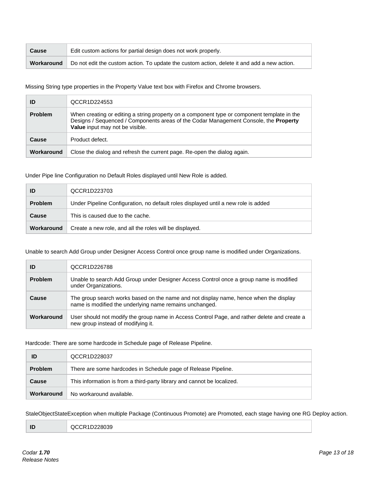| <b>Cause</b> | Edit custom actions for partial design does not work properly.                              |
|--------------|---------------------------------------------------------------------------------------------|
| Workaround   | Do not edit the custom action. To update the custom action, delete it and add a new action. |

Missing String type properties in the Property Value text box with Firefox and Chrome browsers.

| ID             | QCCR1D224553                                                                                                                                                                                                           |
|----------------|------------------------------------------------------------------------------------------------------------------------------------------------------------------------------------------------------------------------|
| <b>Problem</b> | When creating or editing a string property on a component type or component template in the<br>Designs / Sequenced / Components areas of the Codar Management Console, the Property<br>Value input may not be visible. |
| Cause          | Product defect.                                                                                                                                                                                                        |
| Workaround     | Close the dialog and refresh the current page. Re-open the dialog again.                                                                                                                                               |

#### Under Pipe line Configuration no Default Roles displayed until New Role is added.

| ID             | QCCR1D223703                                                                       |  |
|----------------|------------------------------------------------------------------------------------|--|
| <b>Problem</b> | Under Pipeline Configuration, no default roles displayed until a new role is added |  |
| Cause          | This is caused due to the cache.                                                   |  |
| Workaround     | Create a new role, and all the roles will be displayed.                            |  |

#### Unable to search Add Group under Designer Access Control once group name is modified under Organizations.

| ID             | QCCR1D226788                                                                                                                                     |
|----------------|--------------------------------------------------------------------------------------------------------------------------------------------------|
| <b>Problem</b> | Unable to search Add Group under Designer Access Control once a group name is modified<br>under Organizations.                                   |
| Cause          | The group search works based on the name and not display name, hence when the display<br>name is modified the underlying name remains unchanged. |
| Workaround     | User should not modify the group name in Access Control Page, and rather delete and create a<br>new group instead of modifying it.               |

#### Hardcode: There are some hardcode in Schedule page of Release Pipeline.

| ID             | QCCR1D228037                                                            |
|----------------|-------------------------------------------------------------------------|
| <b>Problem</b> | There are some hardcodes in Schedule page of Release Pipeline.          |
| <b>Cause</b>   | This information is from a third-party library and cannot be localized. |
| Workaround     | No workaround available.                                                |

StaleObjectStateException when multiple Package (Continuous Promote) are Promoted, each stage having one RG Deploy action.

| QCCR1D228039<br>____ |
|----------------------|
|                      |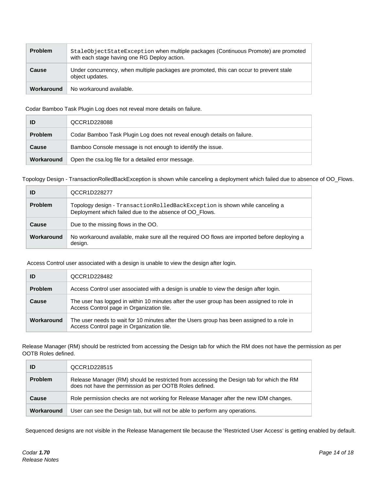| <b>Problem</b> | StaleObjectStateException when multiple packages (Continuous Promote) are promoted<br>with each stage having one RG Deploy action. |
|----------------|------------------------------------------------------------------------------------------------------------------------------------|
| Cause          | Under concurrency, when multiple packages are promoted, this can occur to prevent stale<br>object updates.                         |
| Workaround     | No workaround available.                                                                                                           |

Codar Bamboo Task Plugin Log does not reveal more details on failure.

| ID             | QCCR1D228088                                                            |
|----------------|-------------------------------------------------------------------------|
| <b>Problem</b> | Codar Bamboo Task Plugin Log does not reveal enough details on failure. |
| <b>Cause</b>   | Bamboo Console message is not enough to identify the issue.             |
| Workaround     | Open the csa.log file for a detailed error message.                     |

Topology Design - TransactionRolledBackException is shown while canceling a deployment which failed due to absence of OO\_Flows.

| ID             | QCCR1D228277                                                                                                                           |
|----------------|----------------------------------------------------------------------------------------------------------------------------------------|
| <b>Problem</b> | Topology design - TransactionRolledBackException is shown while canceling a<br>Deployment which failed due to the absence of OO_Flows. |
| <b>Cause</b>   | Due to the missing flows in the OO.                                                                                                    |
| Workaround     | No workaround available, make sure all the required OO flows are imported before deploying a<br>design.                                |

Access Control user associated with a design is unable to view the design after login.

| ID             | QCCR1D228482                                                                                                                            |
|----------------|-----------------------------------------------------------------------------------------------------------------------------------------|
| <b>Problem</b> | Access Control user associated with a design is unable to view the design after login.                                                  |
| Cause          | The user has logged in within 10 minutes after the user group has been assigned to role in<br>Access Control page in Organization tile. |
| Workaround     | The user needs to wait for 10 minutes after the Users group has been assigned to a role in<br>Access Control page in Organization tile. |

Release Manager (RM) should be restricted from accessing the Design tab for which the RM does not have the permission as per OOTB Roles defined.

| ID             | QCCR1D228515                                                                                                                                        |
|----------------|-----------------------------------------------------------------------------------------------------------------------------------------------------|
| <b>Problem</b> | Release Manager (RM) should be restricted from accessing the Design tab for which the RM<br>does not have the permission as per OOTB Roles defined. |
| <b>Cause</b>   | Role permission checks are not working for Release Manager after the new IDM changes.                                                               |
| Workaround     | User can see the Design tab, but will not be able to perform any operations.                                                                        |

Sequenced designs are not visible in the Release Management tile because the 'Restricted User Access' is getting enabled by default.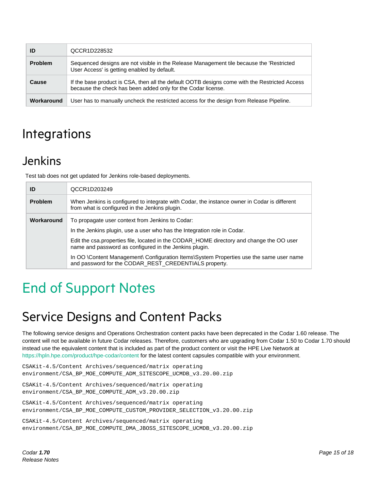| ID             | QCCR1D228532                                                                                                                                                  |
|----------------|---------------------------------------------------------------------------------------------------------------------------------------------------------------|
| <b>Problem</b> | Sequenced designs are not visible in the Release Management tile because the 'Restricted<br>User Access' is getting enabled by default.                       |
| Cause          | If the base product is CSA, then all the default OOTB designs come with the Restricted Access<br>because the check has been added only for the Codar license. |
| Workaround     | User has to manually uncheck the restricted access for the design from Release Pipeline.                                                                      |

## <span id="page-14-0"></span>Integrations

## <span id="page-14-1"></span>Jenkins

Test tab does not get updated for Jenkins role-based deployments.

| ID             | QCCR1D203249                                                                                                                                       |
|----------------|----------------------------------------------------------------------------------------------------------------------------------------------------|
| <b>Problem</b> | When Jenkins is configured to integrate with Codar, the instance owner in Codar is different<br>from what is configured in the Jenkins plugin.     |
| Workaround     | To propagate user context from Jenkins to Codar:                                                                                                   |
|                | In the Jenkins plugin, use a user who has the Integration role in Codar.                                                                           |
|                | Edit the csa.properties file, located in the CODAR_HOME directory and change the OO user<br>name and password as configured in the Jenkins plugin. |
|                | In OO \Content Management\ Configuration Items\System Properties use the same user name<br>and password for the CODAR_REST_CREDENTIALS property.   |

# <span id="page-14-2"></span>End of Support Notes

## <span id="page-14-3"></span>Service Designs and Content Packs

The following service designs and Operations Orchestration content packs have been deprecated in the Codar 1.60 release. The content will not be available in future Codar releases. Therefore, customers who are upgrading from Codar 1.50 to Codar 1.70 should instead use the equivalent content that is included as part of the product content or visit the HPE Live Network at https://hpln.hpe.com/product/hpe-codar/content for the latest content capsules compatible with your environment.

```
CSAKit-4.5/Content Archives/sequenced/matrix operating 
environment/CSA_BP_MOE_COMPUTE_ADM_SITESCOPE_UCMDB_v3.20.00.zip
```
CSAKit-4.5/Content Archives/sequenced/matrix operating environment/CSA\_BP\_MOE\_COMPUTE\_ADM\_v3.20.00.zip

```
CSAKit-4.5/Content Archives/sequenced/matrix operating 
environment/CSA_BP_MOE_COMPUTE_CUSTOM_PROVIDER_SELECTION_v3.20.00.zip
```

```
CSAKit-4.5/Content Archives/sequenced/matrix operating 
environment/CSA_BP_MOE_COMPUTE_DMA_JBOSS_SITESCOPE_UCMDB_v3.20.00.zip
```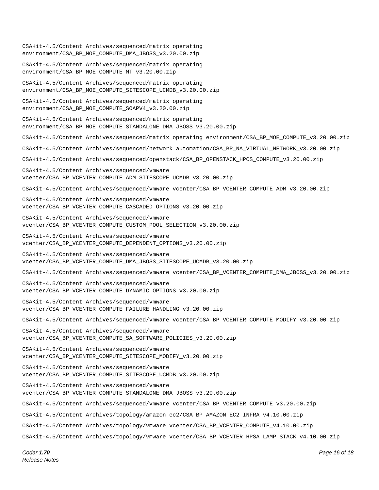CSAKit-4.5/Content Archives/sequenced/matrix operating environment/CSA\_BP\_MOE\_COMPUTE\_DMA\_JBOSS\_v3.20.00.zip CSAKit-4.5/Content Archives/sequenced/matrix operating environment/CSA\_BP\_MOE\_COMPUTE\_MT\_v3.20.00.zip CSAKit-4.5/Content Archives/sequenced/matrix operating environment/CSA\_BP\_MOE\_COMPUTE\_SITESCOPE\_UCMDB\_v3.20.00.zip CSAKit-4.5/Content Archives/sequenced/matrix operating environment/CSA\_BP\_MOE\_COMPUTE\_SOAPV4\_v3.20.00.zip CSAKit-4.5/Content Archives/sequenced/matrix operating environment/CSA\_BP\_MOE\_COMPUTE\_STANDALONE\_DMA\_JBOSS\_v3.20.00.zip CSAKit-4.5/Content Archives/sequenced/matrix operating environment/CSA\_BP\_MOE\_COMPUTE\_v3.20.00.zip CSAKit-4.5/Content Archives/sequenced/network automation/CSA\_BP\_NA\_VIRTUAL\_NETWORK\_v3.20.00.zip CSAKit-4.5/Content Archives/sequenced/openstack/CSA\_BP\_OPENSTACK\_HPCS\_COMPUTE\_v3.20.00.zip CSAKit-4.5/Content Archives/sequenced/vmware vcenter/CSA\_BP\_VCENTER\_COMPUTE\_ADM\_SITESCOPE\_UCMDB\_v3.20.00.zip CSAKit-4.5/Content Archives/sequenced/vmware vcenter/CSA\_BP\_VCENTER\_COMPUTE\_ADM\_v3.20.00.zip CSAKit-4.5/Content Archives/sequenced/vmware vcenter/CSA\_BP\_VCENTER\_COMPUTE\_CASCADED\_OPTIONS\_v3.20.00.zip CSAKit-4.5/Content Archives/sequenced/vmware vcenter/CSA\_BP\_VCENTER\_COMPUTE\_CUSTOM\_POOL\_SELECTION\_v3.20.00.zip CSAKit-4.5/Content Archives/sequenced/vmware vcenter/CSA\_BP\_VCENTER\_COMPUTE\_DEPENDENT\_OPTIONS\_v3.20.00.zip CSAKit-4.5/Content Archives/sequenced/vmware vcenter/CSA\_BP\_VCENTER\_COMPUTE\_DMA\_JBOSS\_SITESCOPE\_UCMDB\_v3.20.00.zip CSAKit-4.5/Content Archives/sequenced/vmware vcenter/CSA\_BP\_VCENTER\_COMPUTE\_DMA\_JBOSS\_v3.20.00.zip CSAKit-4.5/Content Archives/sequenced/vmware vcenter/CSA\_BP\_VCENTER\_COMPUTE\_DYNAMIC\_OPTIONS\_v3.20.00.zip CSAKit-4.5/Content Archives/sequenced/vmware vcenter/CSA\_BP\_VCENTER\_COMPUTE\_FAILURE\_HANDLING\_v3.20.00.zip CSAKit-4.5/Content Archives/sequenced/vmware vcenter/CSA\_BP\_VCENTER\_COMPUTE\_MODIFY\_v3.20.00.zip CSAKit-4.5/Content Archives/sequenced/vmware vcenter/CSA\_BP\_VCENTER\_COMPUTE\_SA\_SOFTWARE\_POLICIES\_v3.20.00.zip CSAKit-4.5/Content Archives/sequenced/vmware vcenter/CSA\_BP\_VCENTER\_COMPUTE\_SITESCOPE\_MODIFY\_v3.20.00.zip CSAKit-4.5/Content Archives/sequenced/vmware vcenter/CSA\_BP\_VCENTER\_COMPUTE\_SITESCOPE\_UCMDB\_v3.20.00.zip CSAKit-4.5/Content Archives/sequenced/vmware vcenter/CSA\_BP\_VCENTER\_COMPUTE\_STANDALONE\_DMA\_JBOSS\_v3.20.00.zip CSAKit-4.5/Content Archives/sequenced/vmware vcenter/CSA\_BP\_VCENTER\_COMPUTE\_v3.20.00.zip CSAKit-4.5/Content Archives/topology/amazon ec2/CSA\_BP\_AMAZON\_EC2\_INFRA\_v4.10.00.zip CSAKit-4.5/Content Archives/topology/vmware vcenter/CSA\_BP\_VCENTER\_COMPUTE\_v4.10.00.zip CSAKit-4.5/Content Archives/topology/vmware vcenter/CSA\_BP\_VCENTER\_HPSA\_LAMP\_STACK\_v4.10.00.zip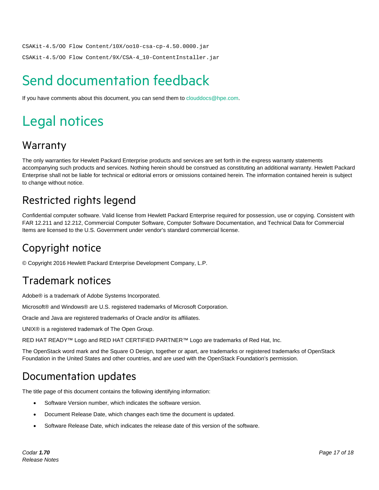CSAKit-4.5/OO Flow Content/10X/oo10-csa-cp-4.50.0000.jar

CSAKit-4.5/OO Flow Content/9X/CSA-4\_10-ContentInstaller.jar

# <span id="page-16-0"></span>Send documentation feedback

If you have comments about this document, you can send them to [clouddocs@hpe.com.](mailto:clouddocs@hpe.com)

# <span id="page-16-1"></span>Legal notices

### **Warranty**

The only warranties for Hewlett Packard Enterprise products and services are set forth in the express warranty statements accompanying such products and services. Nothing herein should be construed as constituting an additional warranty. Hewlett Packard Enterprise shall not be liable for technical or editorial errors or omissions contained herein. The information contained herein is subject to change without notice.

## Restricted rights legend

Confidential computer software. Valid license from Hewlett Packard Enterprise required for possession, use or copying. Consistent with FAR 12.211 and 12.212, Commercial Computer Software, Computer Software Documentation, and Technical Data for Commercial Items are licensed to the U.S. Government under vendor's standard commercial license.

## Copyright notice

© Copyright 2016 Hewlett Packard Enterprise Development Company, L.P.

### Trademark notices

Adobe® is a trademark of Adobe Systems Incorporated.

Microsoft® and Windows® are U.S. registered trademarks of Microsoft Corporation.

Oracle and Java are registered trademarks of Oracle and/or its affiliates.

UNIX® is a registered trademark of The Open Group.

RED HAT READY™ Logo and RED HAT CERTIFIED PARTNER™ Logo are trademarks of Red Hat, Inc.

The OpenStack word mark and the Square O Design, together or apart, are trademarks or registered trademarks of OpenStack Foundation in the United States and other countries, and are used with the OpenStack Foundation's permission.

### Documentation updates

The title page of this document contains the following identifying information:

- Software Version number, which indicates the software version.
- Document Release Date, which changes each time the document is updated.
- Software Release Date, which indicates the release date of this version of the software.